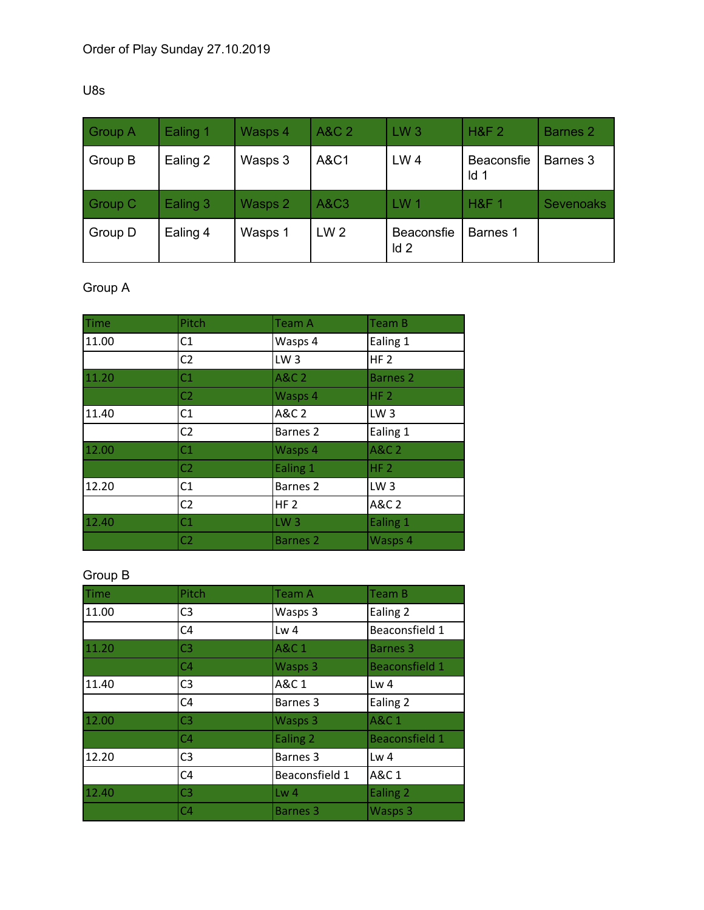#### U8s

| <b>Group A</b> | Ealing 1 | Wasps 4 | A&C 2           | LW <sub>3</sub>   | <b>H&amp;F 2</b>                     | <b>Barnes 2</b>  |
|----------------|----------|---------|-----------------|-------------------|--------------------------------------|------------------|
| Group B        | Ealing 2 | Wasps 3 | A&C1            | LW <sub>4</sub>   | <b>Beaconsfie</b><br>Id <sub>1</sub> | Barnes 3         |
| Group C        | Ealing 3 | Wasps 2 | <b>A&amp;C3</b> | LW <sub>1</sub>   | <b>H&amp;F1</b>                      | <b>Sevenoaks</b> |
| Group D        | Ealing 4 | Wasps 1 | LW <sub>2</sub> | Beaconsfie<br>Id2 | Barnes 1                             |                  |

# Group A

| <b>Time</b> | Pitch          | <b>Team A</b>       | Team B           |
|-------------|----------------|---------------------|------------------|
| 11.00       | C1             | Wasps 4             | Ealing 1         |
|             | C <sub>2</sub> | LW <sub>3</sub>     | HF <sub>2</sub>  |
| 11.20       | C1             | <b>A&amp;C 2</b>    | <b>Barnes 2</b>  |
|             | C <sub>2</sub> | Wasps 4             | HF <sub>2</sub>  |
| 11.40       | C1             | A&C 2               | LW <sub>3</sub>  |
|             | C <sub>2</sub> | Barnes <sub>2</sub> | Ealing 1         |
| 12.00       | C1             | Wasps 4             | <b>A&amp;C 2</b> |
|             | C <sub>2</sub> | Ealing 1            | HF <sub>2</sub>  |
| 12.20       | C1             | Barnes <sub>2</sub> | LW <sub>3</sub>  |
|             | C <sub>2</sub> | HF <sub>2</sub>     | A&C 2            |
| 12.40       | C1             | LW <sub>3</sub>     | Ealing 1         |
|             | C <sub>2</sub> | <b>Barnes 2</b>     | Wasps 4          |

#### Group B

| <b>Time</b> | Pitch          | <b>Team A</b>       | Team B                |
|-------------|----------------|---------------------|-----------------------|
| 11.00       | C <sub>3</sub> | Wasps 3             | Ealing 2              |
|             | C <sub>4</sub> | Lw <sub>4</sub>     | Beaconsfield 1        |
| 11.20       | C <sub>3</sub> | <b>A&amp;C1</b>     | <b>Barnes 3</b>       |
|             | C <sub>4</sub> | Wasps 3             | <b>Beaconsfield 1</b> |
| 11.40       | C <sub>3</sub> | A&C 1               | Lw <sub>4</sub>       |
|             | C <sub>4</sub> | Barnes 3            | Ealing 2              |
| 12.00       | C <sub>3</sub> | Wasps 3             | <b>A&amp;C 1</b>      |
|             | C <sub>4</sub> | Ealing 2            | <b>Beaconsfield 1</b> |
| 12.20       | C <sub>3</sub> | Barnes <sub>3</sub> | Lw <sub>4</sub>       |
|             | C <sub>4</sub> | Beaconsfield 1      | A&C 1                 |
| 12.40       | C <sub>3</sub> | Lw <sub>4</sub>     | Ealing 2              |
|             | C <sub>4</sub> | <b>Barnes 3</b>     | Wasps 3               |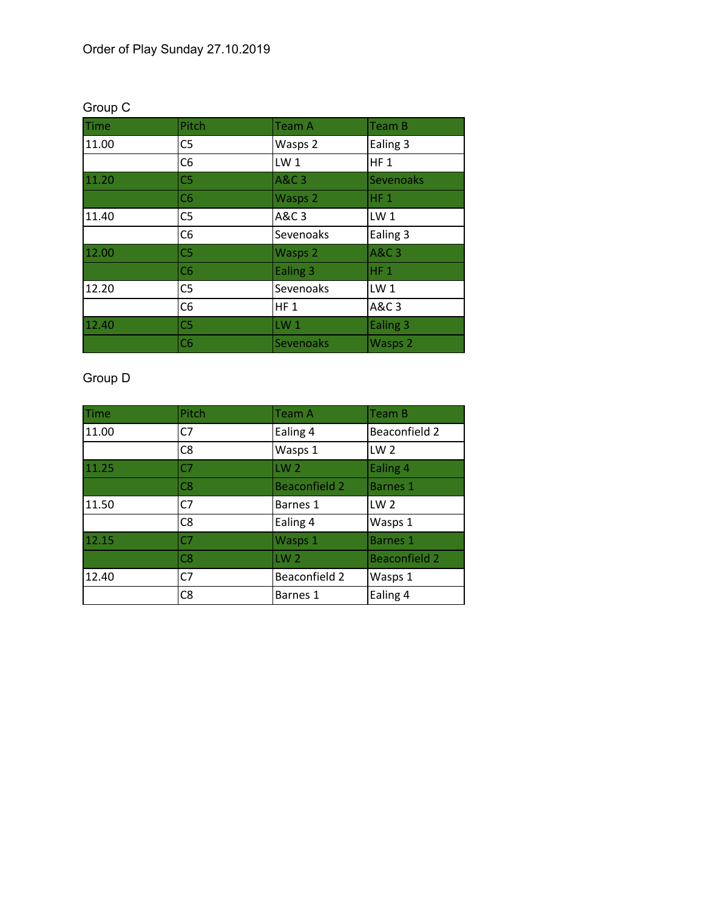| <b>Time</b> | Pitch          | <b>Team A</b>   | Team B           |
|-------------|----------------|-----------------|------------------|
| 11.00       | C <sub>5</sub> | Wasps 2         | Ealing 3         |
|             | C <sub>6</sub> | LW <sub>1</sub> | HF <sub>1</sub>  |
| 11.20       | C <sub>5</sub> | <b>A&amp;C3</b> | <b>Sevenoaks</b> |
|             | C6             | Wasps 2         | $HF_1$           |
| 11.40       | C <sub>5</sub> | A&C 3           | LW <sub>1</sub>  |
|             | C <sub>6</sub> | Sevenoaks       | Ealing 3         |
| 12.00       | C <sub>5</sub> | Wasps 2         | <b>A&amp;C3</b>  |
|             | C6             | Ealing 3        | $HF_1$           |
| 12.20       | C <sub>5</sub> | Sevenoaks       | LW <sub>1</sub>  |
|             | C <sub>6</sub> | $HF_1$          | A&C 3            |
| 12.40       | C <sub>5</sub> | LW <sub>1</sub> | Ealing 3         |
|             | C6             | Sevenoaks       | Wasps 2          |

# Group C

# Group D

| Time  | Pitch          | <b>Team A</b>        | <b>Team B</b>        |
|-------|----------------|----------------------|----------------------|
| 11.00 | C7             | Ealing 4             | Beaconfield 2        |
|       | C <sub>8</sub> | Wasps 1              | LW <sub>2</sub>      |
| 11.25 | C <sub>7</sub> | LW <sub>2</sub>      | Ealing 4             |
|       | C8             | <b>Beaconfield 2</b> | <b>Barnes 1</b>      |
| 11.50 | C7             | Barnes 1             | LW <sub>2</sub>      |
|       | C <sub>8</sub> | Ealing 4             | Wasps 1              |
| 12.15 | C <sub>7</sub> | Wasps 1              | <b>Barnes 1</b>      |
|       | C8             | LW <sub>2</sub>      | <b>Beaconfield 2</b> |
| 12.40 | C <sub>7</sub> | Beaconfield 2        | Wasps 1              |
|       | C <sub>8</sub> | Barnes 1             | Ealing 4             |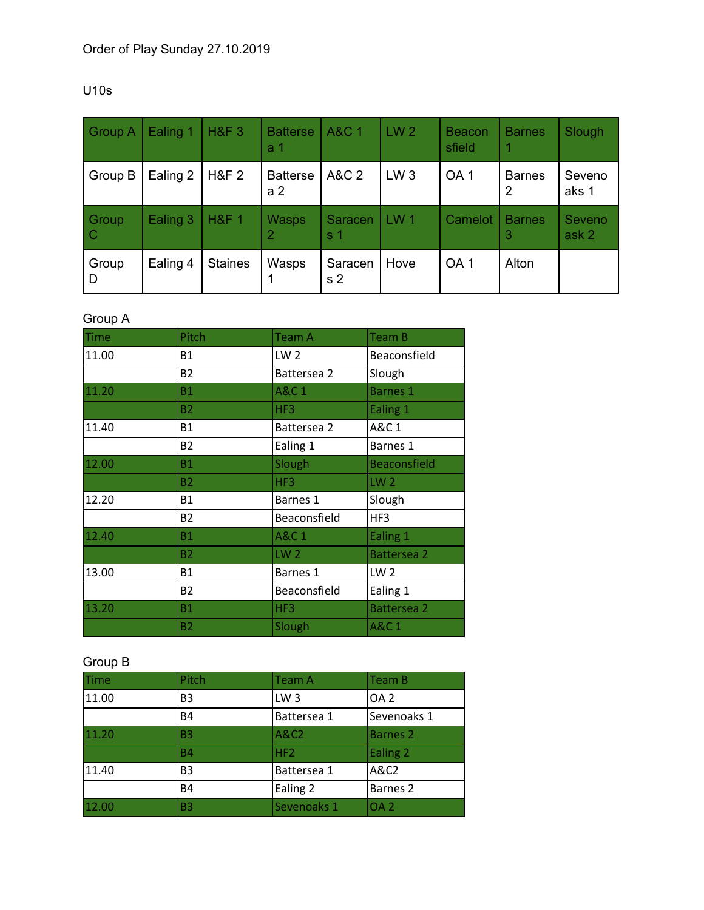| <b>Group A</b>         | Ealing 1 | <b>H&amp;F3</b>  | <b>Batterse</b><br>а 1            | <b>A&amp;C 1</b>          | LW <sub>2</sub> | <b>Beacon</b><br>sfield | <b>Barnes</b>      | Slough          |
|------------------------|----------|------------------|-----------------------------------|---------------------------|-----------------|-------------------------|--------------------|-----------------|
| Group B                | Ealing 2 | <b>H&amp;F 2</b> | <b>Batterse</b><br>a <sub>2</sub> | A&C 2                     | LW <sub>3</sub> | OA <sub>1</sub>         | <b>Barnes</b><br>2 | Seveno<br>aks 1 |
| Group<br>$\mathcal{C}$ | Ealing 3 | <b>H&amp;F 1</b> | <b>Wasps</b><br>2                 | Saracen<br>s 1            | LW <sub>1</sub> | Camelot                 | <b>Barnes</b><br>3 | Seveno<br>ask 2 |
| Group<br>D             | Ealing 4 | <b>Staines</b>   | Wasps<br>1                        | Saracen<br>s <sub>2</sub> | Hove            | OA <sub>1</sub>         | Alton              |                 |

#### U10s

## Group A

| <b>Time</b> | Pitch     | <b>Team A</b>   | Team B              |
|-------------|-----------|-----------------|---------------------|
| 11.00       | <b>B1</b> | LW <sub>2</sub> | Beaconsfield        |
|             | <b>B2</b> | Battersea 2     | Slough              |
| 11.20       | Β1        | A&C 1           | <b>Barnes 1</b>     |
|             | <b>B2</b> | HF3             | Ealing 1            |
| 11.40       | <b>B1</b> | Battersea 2     | A&C 1               |
|             | <b>B2</b> | Ealing 1        | Barnes 1            |
| 12.00       | <b>B1</b> | Slough          | <b>Beaconsfield</b> |
|             | B2        | HF3             | LW <sub>2</sub>     |
| 12.20       | <b>B1</b> | Barnes 1        | Slough              |
|             | <b>B2</b> | Beaconsfield    | HF3                 |
| 12.40       | <b>B1</b> | A&C 1           | Ealing 1            |
|             | <b>B2</b> | LW <sub>2</sub> | <b>Battersea 2</b>  |
| 13.00       | <b>B1</b> | Barnes 1        | LW <sub>2</sub>     |
|             | <b>B2</b> | Beaconsfield    | Ealing 1            |
| 13.20       | <b>B1</b> | HF3             | <b>Battersea 2</b>  |
|             | <b>B2</b> | Slough          | <b>A&amp;C1</b>     |

## Group B

| Time <sup>®</sup> | Pitch          | Team A          | Team B              |
|-------------------|----------------|-----------------|---------------------|
| 11.00             | B <sub>3</sub> | LW <sub>3</sub> | OA <sub>2</sub>     |
|                   | <b>B4</b>      | Battersea 1     | Sevenoaks 1         |
| 11.20             | B <sub>3</sub> | A&C2            | Barnes 2            |
|                   | <b>B4</b>      | HF2             | Ealing 2            |
| 11.40             | B <sub>3</sub> | Battersea 1     | A&C2                |
|                   | <b>B4</b>      | Ealing 2        | Barnes <sub>2</sub> |
| 12.00             | B3             | Sevenoaks 1     | OA <sub>2</sub>     |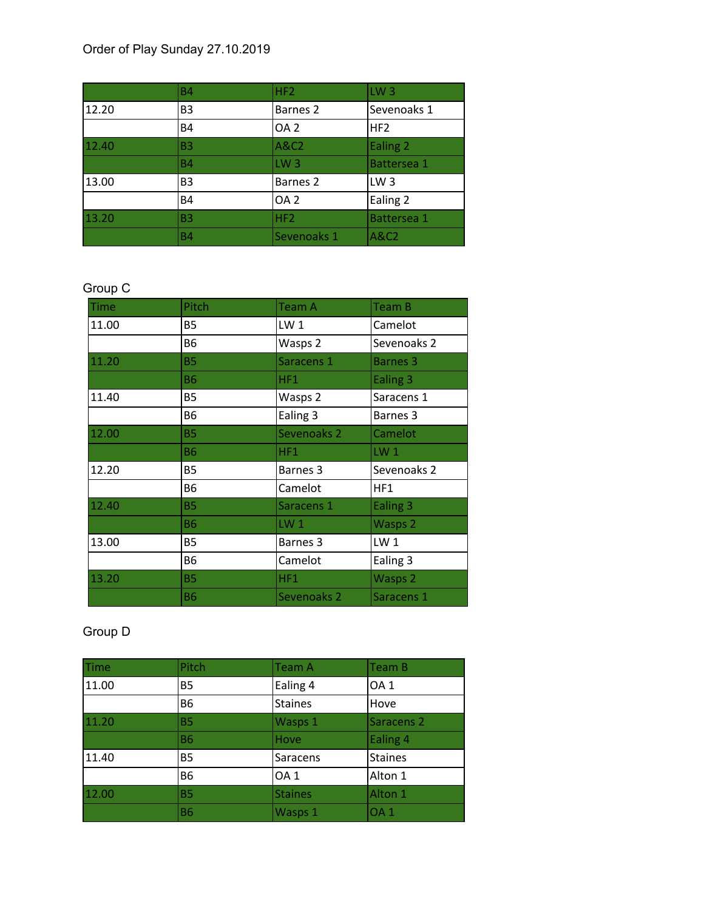## Order of Play Sunday 27.10.2019

|       | <b>B4</b>      | HF <sub>2</sub> | LW <sub>3</sub> |
|-------|----------------|-----------------|-----------------|
| 12.20 | B <sub>3</sub> | Barnes 2        | Sevenoaks 1     |
|       | <b>B4</b>      | OA <sub>2</sub> | HF2             |
| 12.40 | <b>B3</b>      | A&C2            | Ealing 2        |
|       | <b>B4</b>      | LW <sub>3</sub> | Battersea 1     |
| 13.00 | B <sub>3</sub> | Barnes 2        | LW <sub>3</sub> |
|       | <b>B4</b>      | OA <sub>2</sub> | Ealing 2        |
| 13.20 | <b>B3</b>      | HF <sub>2</sub> | Battersea 1     |
|       | <b>B4</b>      | Sevenoaks 1     | <b>A&amp;C2</b> |

# Group C

| <b>Time</b> | Pitch     | <b>Team A</b>   | Team B              |
|-------------|-----------|-----------------|---------------------|
| 11.00       | <b>B5</b> | LW <sub>1</sub> | Camelot             |
|             | B6        | Wasps 2         | Sevenoaks 2         |
| 11.20       | <b>B5</b> | Saracens 1      | <b>Barnes 3</b>     |
|             | <b>B6</b> | HF1             | Ealing 3            |
| 11.40       | <b>B5</b> | Wasps 2         | Saracens 1          |
|             | <b>B6</b> | Ealing 3        | Barnes 3            |
| 12.00       | <b>B5</b> | Sevenoaks 2     | Camelot             |
|             | <b>B6</b> | HF1             | $LW_1$              |
| 12.20       | <b>B5</b> | Barnes 3        | Sevenoaks 2         |
|             | <b>B6</b> | Camelot         | HF1                 |
| 12.40       | <b>B5</b> | Saracens 1      | Ealing <sub>3</sub> |
|             | <b>B6</b> | LW <sub>1</sub> | Wasps 2             |
| 13.00       | <b>B5</b> | Barnes 3        | LW <sub>1</sub>     |
|             | <b>B6</b> | Camelot         | Ealing 3            |
| 13.20       | <b>B5</b> | HF1             | Wasps 2             |
|             | <b>B6</b> | Sevenoaks 2     | Saracens 1          |

## Group D

| Time  | Pitch     | Team A          | Team B                |
|-------|-----------|-----------------|-----------------------|
| 11.00 | <b>B5</b> | Ealing 4        | OA <sub>1</sub>       |
|       | <b>B6</b> | <b>Staines</b>  | Hove                  |
| 11.20 | <b>B5</b> | Wasps 1         | Saracens <sub>2</sub> |
|       | <b>B6</b> | Hove            | Ealing 4              |
| 11.40 | <b>B5</b> | Saracens        | <b>Staines</b>        |
|       | <b>B6</b> | OA <sub>1</sub> | Alton 1               |
| 12.00 | <b>B5</b> | <b>Staines</b>  | Alton 1               |
|       | <b>B6</b> | Wasps 1         | OA <sub>1</sub>       |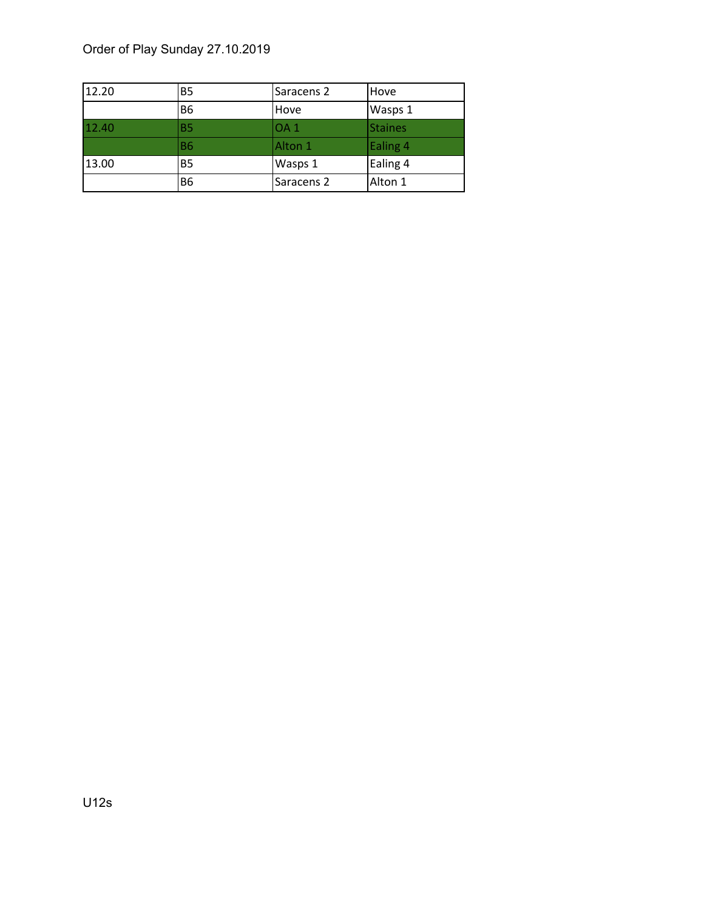## Order of Play Sunday 27.10.2019

| 12.20 | <b>B5</b>      | Saracens 2      | Hove           |
|-------|----------------|-----------------|----------------|
|       | B <sub>6</sub> | Hove            | Wasps 1        |
| 12.40 | <b>B5</b>      | OA <sub>1</sub> | <b>Staines</b> |
|       | <b>B6</b>      | Alton 1         | Ealing 4       |
| 13.00 | <b>B5</b>      | Wasps 1         | Ealing 4       |
|       | <b>B6</b>      | Saracens 2      | Alton 1        |